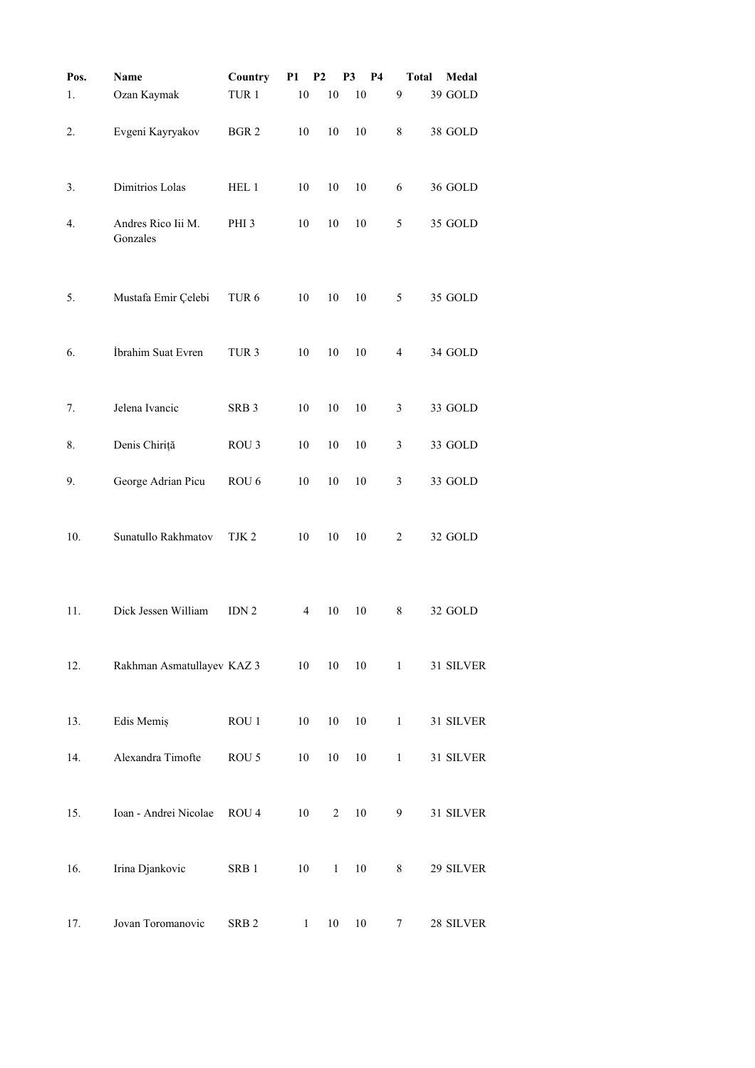| Pos. | Name                           | Country          | P1           | <b>P2</b>      | P <sub>3</sub><br><b>P4</b> |                | Medal<br>Total |
|------|--------------------------------|------------------|--------------|----------------|-----------------------------|----------------|----------------|
| 1.   | Ozan Kaymak                    | TUR <sub>1</sub> | 10           | 10             | 10                          | 9              | 39 GOLD        |
| 2.   | Evgeni Kayryakov               | BGR <sub>2</sub> | 10           | 10             | 10                          | 8              | 38 GOLD        |
| 3.   | Dimitrios Lolas                | HEL 1            | 10           | 10             | 10                          | 6              | 36 GOLD        |
| 4.   | Andres Rico Iii M.<br>Gonzales | PHI <sub>3</sub> | 10           | 10             | 10                          | 5              | 35 GOLD        |
| 5.   | Mustafa Emir Çelebi            | TUR <sub>6</sub> | 10           | 10             | 10                          | 5              | 35 GOLD        |
| 6.   | İbrahim Suat Evren             | TUR <sub>3</sub> | 10           | 10             | 10                          | $\overline{4}$ | 34 GOLD        |
| 7.   | Jelena Ivancic                 | SRB <sub>3</sub> | 10           | 10             | 10                          | 3              | 33 GOLD        |
| 8.   | Denis Chiriță                  | ROU <sub>3</sub> | 10           | 10             | 10                          | 3              | 33 GOLD        |
| 9.   | George Adrian Picu             | ROU <sub>6</sub> | 10           | 10             | 10                          | 3              | 33 GOLD        |
| 10.  | Sunatullo Rakhmatov            | TJK <sub>2</sub> | 10           | 10             | 10                          | $\overline{c}$ | 32 GOLD        |
| 11.  | Dick Jessen William            | IDN <sub>2</sub> | 4            | 10             | 10                          | 8              | 32 GOLD        |
| 12.  | Rakhman Asmatullayev KAZ 3     |                  | 10           | 10             | 10                          | $\mathbf{1}$   | 31 SILVER      |
| 13.  | Edis Memiş                     | ROU 1            | 10           | 10             | 10                          | $\mathbf{1}$   | 31 SILVER      |
| 14.  | Alexandra Timofte              | ROU 5            | 10           | $10\,$         | $10\,$                      | $\,1$          | 31 SILVER      |
| 15.  | Ioan - Andrei Nicolae          | ROU <sub>4</sub> | 10           | $\overline{2}$ | 10                          | 9              | 31 SILVER      |
| 16.  | Irina Djankovic                | SRB <sub>1</sub> | 10           | $\mathbf{1}$   | 10                          | 8              | 29 SILVER      |
| 17.  | Jovan Toromanovic              | SRB <sub>2</sub> | $\mathbf{1}$ | 10             | 10                          | 7              | 28 SILVER      |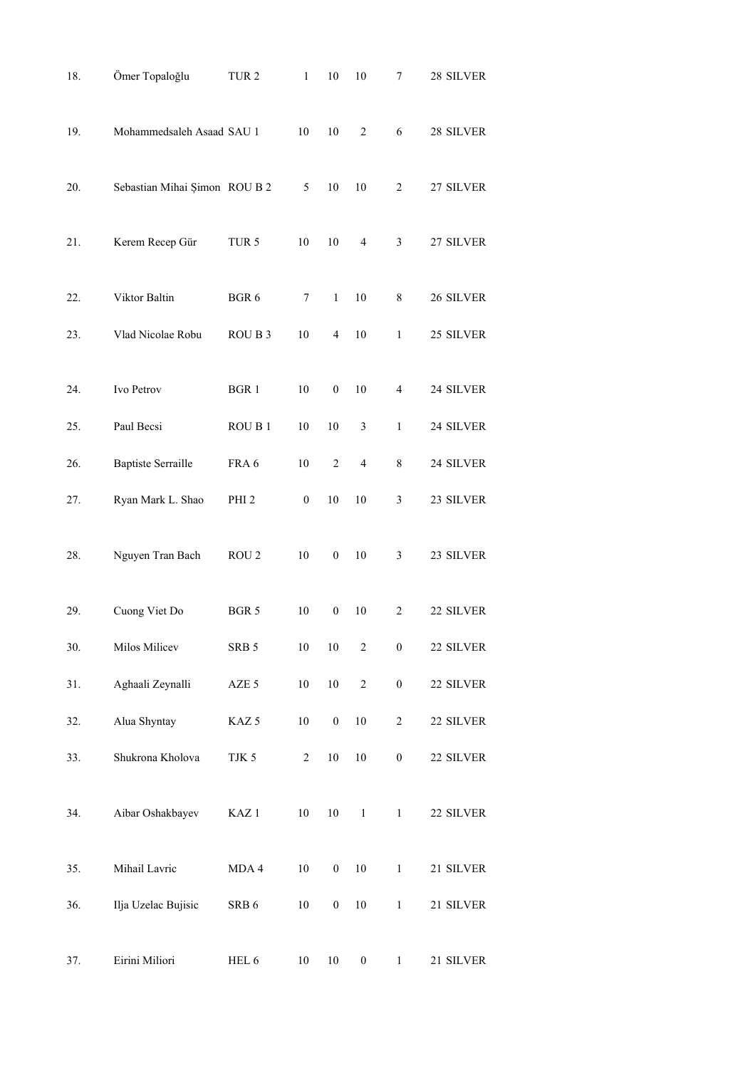| 18. | Ömer Topaloğlu                | TUR <sub>2</sub> | $\mathbf{1}$     | 10               | 10                       | 7                | 28 SILVER |
|-----|-------------------------------|------------------|------------------|------------------|--------------------------|------------------|-----------|
| 19. | Mohammedsaleh Asaad SAU 1     |                  | 10               | 10               | $\overline{2}$           | 6                | 28 SILVER |
| 20. | Sebastian Mihai Şimon ROU B 2 |                  | 5                | 10               | 10                       | $\overline{c}$   | 27 SILVER |
| 21. | Kerem Recep Gür               | TUR <sub>5</sub> | 10               | 10               | 4                        | 3                | 27 SILVER |
| 22. | Viktor Baltin                 | BGR 6            | 7                | $\mathbf{1}$     | 10                       | 8                | 26 SILVER |
| 23. | Vlad Nicolae Robu             | ROU B 3          | 10               | 4                | 10                       | $\mathbf{1}$     | 25 SILVER |
| 24. | Ivo Petrov                    | BGR 1            | 10               | $\boldsymbol{0}$ | 10                       | $\overline{4}$   | 24 SILVER |
| 25. | Paul Becsi                    | ROU B1           | 10               | 10               | 3                        | $\mathbf{1}$     | 24 SILVER |
| 26. | <b>Baptiste Serraille</b>     | FRA 6            | $10\,$           | $\overline{c}$   | $\overline{\mathcal{L}}$ | 8                | 24 SILVER |
| 27. | Ryan Mark L. Shao             | PHI <sub>2</sub> | $\boldsymbol{0}$ | 10               | 10                       | 3                | 23 SILVER |
| 28. | Nguyen Tran Bach              | ROU <sub>2</sub> | $10\,$           | $\boldsymbol{0}$ | 10                       | 3                | 23 SILVER |
| 29. | Cuong Viet Do                 | BGR 5            | 10               | $\boldsymbol{0}$ | 10                       | $\overline{2}$   | 22 SILVER |
| 30. | Milos Milicev                 | SRB <sub>5</sub> | 10               | 10               | $\sqrt{2}$               | $\boldsymbol{0}$ | 22 SILVER |
| 31. | Aghaali Zeynalli              | AZE 5            | $10\,$           | $10\,$           | $\overline{c}$           | $\boldsymbol{0}$ | 22 SILVER |
| 32. | Alua Shyntay                  | KAZ <sub>5</sub> | $10\,$           | $\boldsymbol{0}$ | $10\,$                   | $\sqrt{2}$       | 22 SILVER |
| 33. | Shukrona Kholova              | TJK 5            | $\sqrt{2}$       | $10\,$           | $10\,$                   | $\boldsymbol{0}$ | 22 SILVER |
| 34. | Aibar Oshakbayev              | KAZ <sub>1</sub> | $10\,$           | $10\,$           | $\mathbf{1}$             | $\,1$            | 22 SILVER |
| 35. | Mihail Lavric                 | MDA 4            | $10\,$           | $\boldsymbol{0}$ | $10\,$                   | $\,1\,$          | 21 SILVER |
| 36. | Ilja Uzelac Bujisic           | SRB 6            | $10\,$           | $\boldsymbol{0}$ | $10\,$                   | $\mathbf{1}$     | 21 SILVER |
| 37. | Eirini Miliori                | HEL 6            | 10               | 10               | $\boldsymbol{0}$         | $\mathbf{1}$     | 21 SILVER |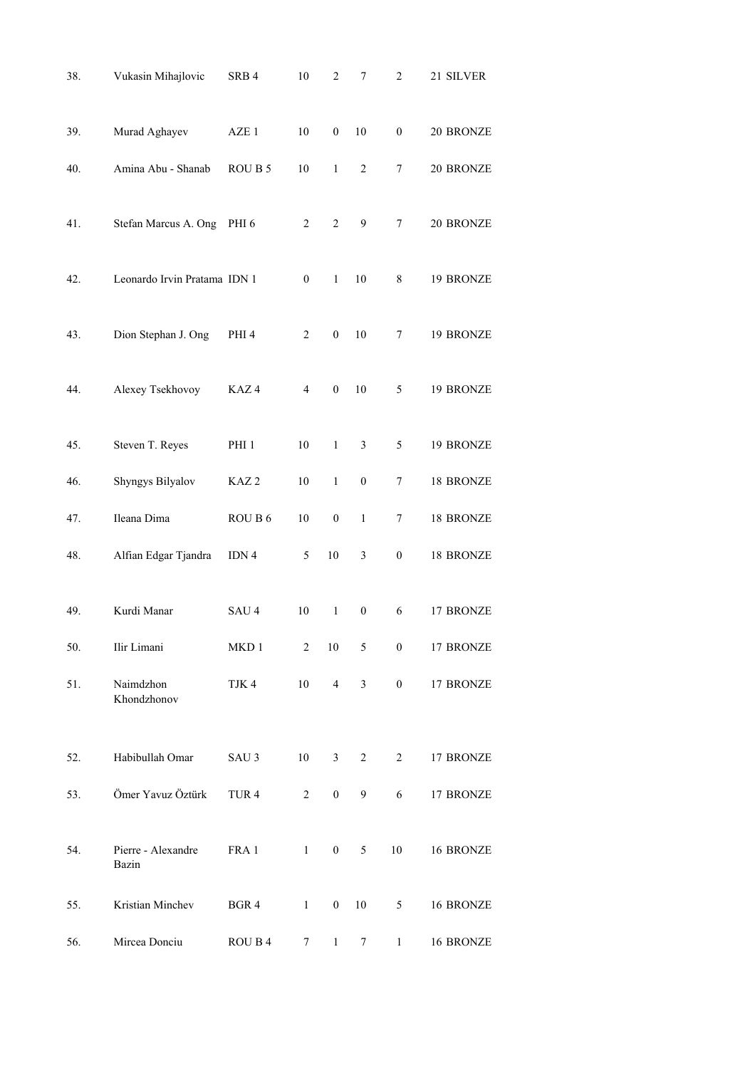| 38. | Vukasin Mihajlovic           | SRB4             | 10             | $\overline{c}$   | $\overline{7}$   | $\mathfrak{2}$   | 21 SILVER |
|-----|------------------------------|------------------|----------------|------------------|------------------|------------------|-----------|
| 39. | Murad Aghayev                | AZE 1            | 10             | $\boldsymbol{0}$ | 10               | $\boldsymbol{0}$ | 20 BRONZE |
| 40. | Amina Abu - Shanab           | ROU B 5          | 10             | $\mathbf{1}$     | $\overline{2}$   | 7                | 20 BRONZE |
| 41. | Stefan Marcus A. Ong         | PHI <sub>6</sub> | $\overline{2}$ | $\overline{c}$   | 9                | 7                | 20 BRONZE |
| 42. | Leonardo Irvin Pratama IDN 1 |                  | $\mathbf{0}$   | $\mathbf{1}$     | 10               | 8                | 19 BRONZE |
| 43. | Dion Stephan J. Ong          | PHI <sub>4</sub> | $\overline{2}$ | $\boldsymbol{0}$ | 10               | 7                | 19 BRONZE |
| 44. | Alexey Tsekhovoy             | KAZ4             | 4              | $\boldsymbol{0}$ | 10               | 5                | 19 BRONZE |
| 45. | Steven T. Reyes              | PHI <sub>1</sub> | 10             | $\mathbf{1}$     | 3                | 5                | 19 BRONZE |
| 46. | Shyngys Bilyalov             | KAZ <sub>2</sub> | $10\,$         | $\mathbf{1}$     | $\boldsymbol{0}$ | 7                | 18 BRONZE |
| 47. | Ileana Dima                  | ROU B 6          | 10             | $\boldsymbol{0}$ | 1                | 7                | 18 BRONZE |
| 48. | Alfian Edgar Tjandra         | IDN 4            | 5              | $10\,$           | 3                | $\boldsymbol{0}$ | 18 BRONZE |
| 49. | Kurdi Manar                  | SAU <sub>4</sub> | 10             | 1                | $\boldsymbol{0}$ | 6                | 17 BRONZE |
| 50. | Ilir Limani                  | MKD1             | $\overline{2}$ | $10\,$           | 5                | $\boldsymbol{0}$ | 17 BRONZE |
| 51. | Naimdzhon<br>Khondzhonov     | TJK 4            | 10             | $\overline{4}$   | 3                | $\boldsymbol{0}$ | 17 BRONZE |
| 52. | Habibullah Omar              | SAU <sub>3</sub> | 10             | 3                | $\overline{c}$   | 2                | 17 BRONZE |
| 53. | Ömer Yavuz Öztürk            | TUR <sub>4</sub> | 2              | $\boldsymbol{0}$ | 9                | 6                | 17 BRONZE |
| 54. | Pierre - Alexandre<br>Bazin  | FRA 1            | $\mathbf{1}$   | $\boldsymbol{0}$ | 5                | 10               | 16 BRONZE |
| 55. | Kristian Minchev             | BGR 4            | $\mathbf{1}$   | $\boldsymbol{0}$ | 10               | 5                | 16 BRONZE |
| 56. | Mircea Donciu                | ROU B 4          | 7              | $\mathbf{1}$     | 7                | $\mathbf{1}$     | 16 BRONZE |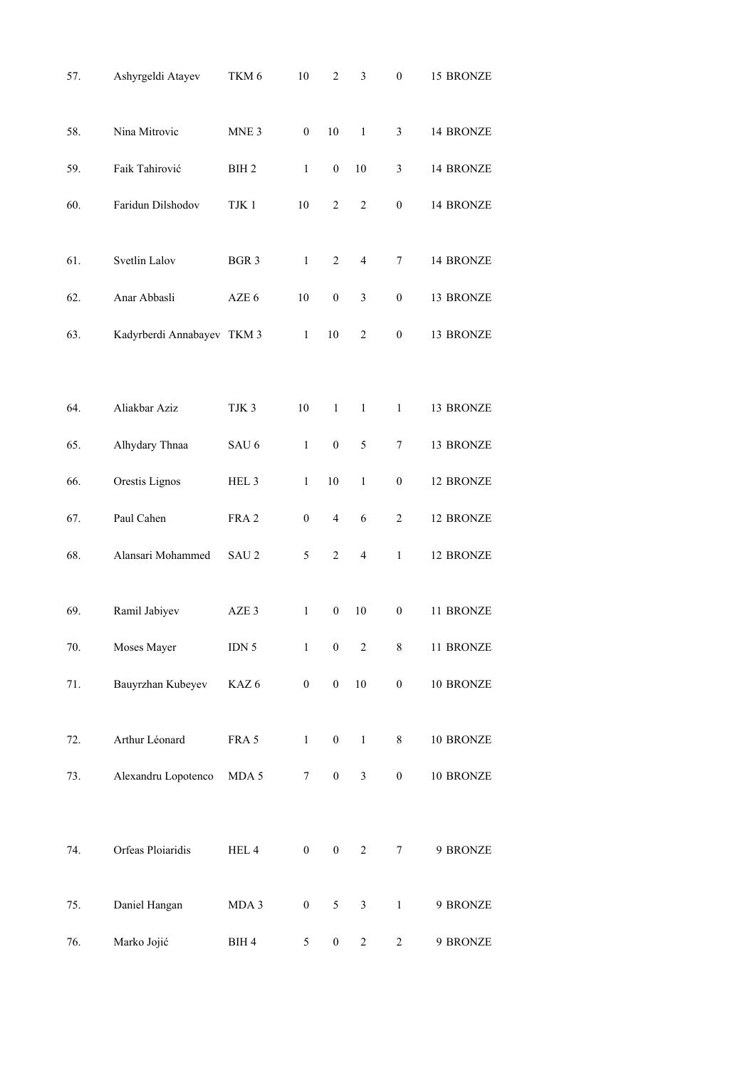| 57. | Ashyrgeldi Atayev          | TKM 6            | 10               | $\overline{2}$   | 3                        | $\boldsymbol{0}$ | 15 BRONZE |
|-----|----------------------------|------------------|------------------|------------------|--------------------------|------------------|-----------|
| 58. | Nina Mitrovic              | MNE <sub>3</sub> | $\boldsymbol{0}$ | 10               | $\mathbf{1}$             | $\mathfrak{Z}$   | 14 BRONZE |
| 59. | Faik Tahirović             | BIH <sub>2</sub> | 1                | $\boldsymbol{0}$ | 10                       | 3                | 14 BRONZE |
| 60. | Faridun Dilshodov          | TJK 1            | 10               | $\overline{c}$   | $\sqrt{2}$               | $\boldsymbol{0}$ | 14 BRONZE |
| 61. | Svetlin Lalov              | BGR 3            | $\mathbf{1}$     | $\overline{2}$   | $\overline{\mathcal{L}}$ | 7                | 14 BRONZE |
| 62. | Anar Abbasli               | AZE 6            | 10               | $\boldsymbol{0}$ | $\mathfrak{Z}$           | $\boldsymbol{0}$ | 13 BRONZE |
| 63. | Kadyrberdi Annabayev TKM 3 |                  | $\mathbf{1}$     | 10               | 2                        | $\boldsymbol{0}$ | 13 BRONZE |
|     |                            |                  |                  |                  |                          |                  |           |
| 64. | Aliakbar Aziz              | TJK <sub>3</sub> | 10               | $\mathbf{1}$     | $\mathbf{1}$             | $\mathbf{1}$     | 13 BRONZE |
| 65. | Alhydary Thnaa             | SAU <sub>6</sub> | $\mathbf{1}$     | $\boldsymbol{0}$ | 5                        | $\tau$           | 13 BRONZE |
| 66. | Orestis Lignos             | HEL 3            | $\,1$            | 10               | $\mathbf{1}$             | $\boldsymbol{0}$ | 12 BRONZE |
| 67. | Paul Cahen                 | FRA 2            | $\boldsymbol{0}$ | $\overline{4}$   | 6                        | $\overline{2}$   | 12 BRONZE |
| 68. | Alansari Mohammed          | SAU <sub>2</sub> | 5                | $\overline{c}$   | $\overline{4}$           | $\mathbf{1}$     | 12 BRONZE |
| 69. | Ramil Jabiyev              | AZE <sub>3</sub> | 1                | $\boldsymbol{0}$ | 10                       | $\boldsymbol{0}$ | 11 BRONZE |
| 70. | Moses Mayer                | IDN $5$          | $\,1$            | $\boldsymbol{0}$ | $\overline{c}$           | $8\,$            | 11 BRONZE |
| 71. | Bauyrzhan Kubeyev          | KAZ6             | $\boldsymbol{0}$ | $\boldsymbol{0}$ | $10\,$                   | $\boldsymbol{0}$ | 10 BRONZE |
| 72. | Arthur Léonard             | FRA 5            | $\mathbf{1}$     | $\boldsymbol{0}$ | $\mathbf{1}$             | 8                | 10 BRONZE |
| 73. | Alexandru Lopotenco        | MDA 5            | $\tau$           | $\boldsymbol{0}$ | $\mathfrak{Z}$           | $\boldsymbol{0}$ | 10 BRONZE |
|     |                            |                  |                  |                  |                          |                  |           |
| 74. | Orfeas Ploiaridis          | HEL 4            | $\boldsymbol{0}$ | $\boldsymbol{0}$ | $\overline{c}$           | $\tau$           | 9 BRONZE  |
| 75. | Daniel Hangan              | MDA 3            | $\boldsymbol{0}$ | 5                | $\mathfrak{Z}$           | $\mathbf{1}$     | 9 BRONZE  |
| 76. | Marko Jojić                | BIH 4            | 5                | $\boldsymbol{0}$ | $\overline{c}$           | $\overline{c}$   | 9 BRONZE  |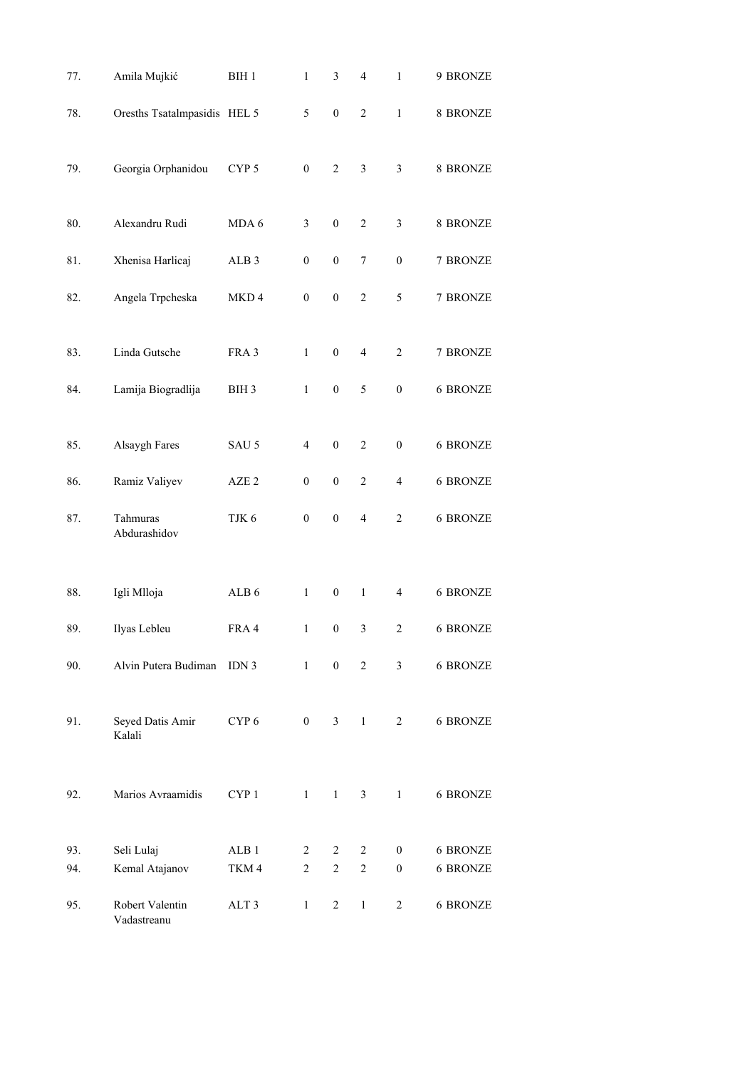| 77. | Amila Mujkić                   | BIH 1            | $\mathbf{1}$     | 3                | $\overline{\mathcal{L}}$ | $\,1$            | 9 BRONZE        |
|-----|--------------------------------|------------------|------------------|------------------|--------------------------|------------------|-----------------|
| 78. | Oresths Tsatalmpasidis HEL 5   |                  | 5                | $\boldsymbol{0}$ | $\overline{c}$           | $\mathbf{1}$     | 8 BRONZE        |
| 79. | Georgia Orphanidou             | CYP <sub>5</sub> | $\boldsymbol{0}$ | $\overline{c}$   | 3                        | 3                | 8 BRONZE        |
| 80. | Alexandru Rudi                 | MDA 6            | 3                | $\boldsymbol{0}$ | $\boldsymbol{2}$         | 3                | 8 BRONZE        |
| 81. | Xhenisa Harlicaj               | ALB <sub>3</sub> | $\boldsymbol{0}$ | $\boldsymbol{0}$ | 7                        | $\theta$         | 7 BRONZE        |
| 82. | Angela Trpcheska               | MKD4             | $\boldsymbol{0}$ | $\boldsymbol{0}$ | $\overline{c}$           | 5                | 7 BRONZE        |
| 83. | Linda Gutsche                  | FRA 3            | $\mathbf{1}$     | $\boldsymbol{0}$ | 4                        | $\overline{2}$   | 7 BRONZE        |
| 84. | Lamija Biogradlija             | BIH <sub>3</sub> | $\mathbf{1}$     | $\boldsymbol{0}$ | 5                        | $\boldsymbol{0}$ | <b>6 BRONZE</b> |
| 85. | Alsaygh Fares                  | SAU 5            | $\overline{4}$   | $\boldsymbol{0}$ | $\overline{c}$           | $\boldsymbol{0}$ | <b>6 BRONZE</b> |
| 86. | Ramiz Valiyev                  | AZE <sub>2</sub> | $\boldsymbol{0}$ | $\boldsymbol{0}$ | $\overline{c}$           | $\overline{4}$   | <b>6 BRONZE</b> |
| 87. | Tahmuras<br>Abdurashidov       | TJK 6            | $\boldsymbol{0}$ | $\boldsymbol{0}$ | $\overline{4}$           | $\overline{2}$   | <b>6 BRONZE</b> |
| 88. | Igli Mlloja                    | ALB <sub>6</sub> | $\mathbf{1}$     | $\boldsymbol{0}$ | $\mathbf{1}$             | $\overline{4}$   | <b>6 BRONZE</b> |
| 89. | Ilyas Lebleu                   | FRA 4            | $\mathbf{1}$     | $\boldsymbol{0}$ | 3                        | $\overline{c}$   | <b>6 BRONZE</b> |
| 90. | Alvin Putera Budiman           | IDN <sub>3</sub> | $\mathbf{1}$     | $\overline{0}$   | $\overline{2}$           | $\mathfrak{Z}$   | 6 BRONZE        |
| 91. | Seyed Datis Amir<br>Kalali     | CYP <sub>6</sub> | $\overline{0}$   | $\mathfrak{Z}$   | 1                        | $\overline{2}$   | 6 BRONZE        |
| 92. | Marios Avraamidis              | CYP <sub>1</sub> | $\mathbf{1}$     | $\mathbf{1}$     | $\mathfrak{Z}$           | $\mathbf{1}$     | <b>6 BRONZE</b> |
| 93. | Seli Lulaj                     | ALB <sub>1</sub> | 2                | 2                | $\overline{c}$           | $\boldsymbol{0}$ | 6 BRONZE        |
| 94. | Kemal Atajanov                 | TKM4             | $\overline{2}$   | $\overline{c}$   | $\overline{2}$           | $\overline{0}$   | <b>6 BRONZE</b> |
| 95. | Robert Valentin<br>Vadastreanu | ALT 3            | $\mathbf{1}$     | $\overline{2}$   | $\mathbf{1}$             | $\overline{2}$   | 6 BRONZE        |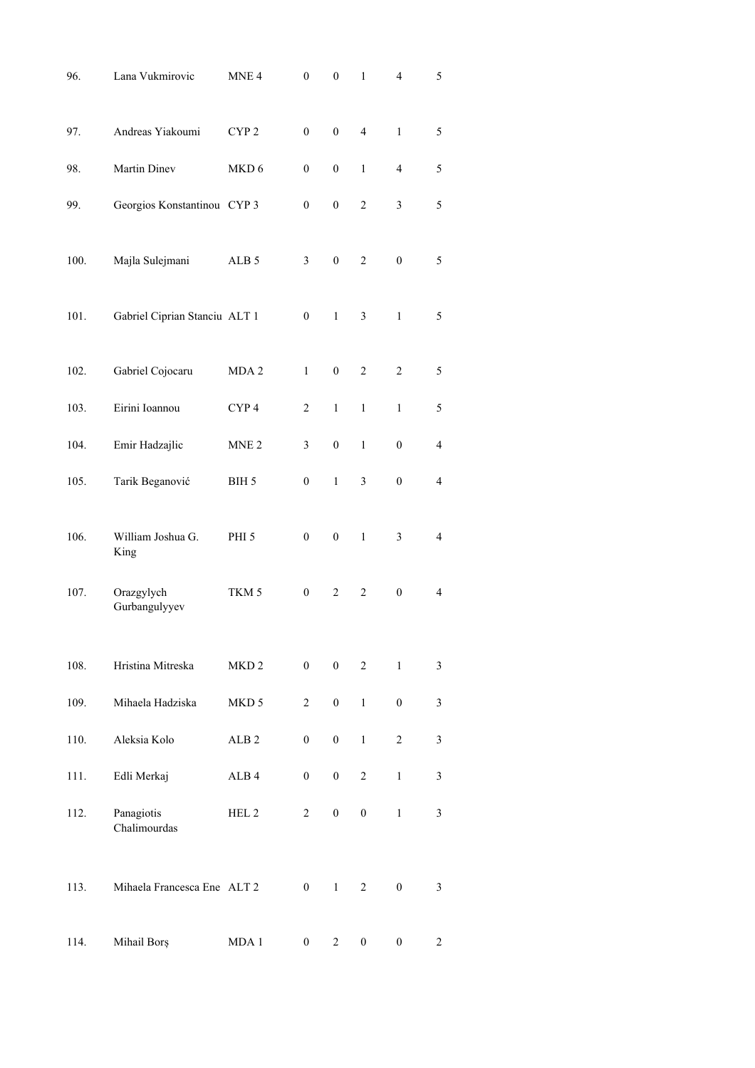| 96.  | Lana Vukmirovic               | MNE <sub>4</sub> | $\boldsymbol{0}$ | $\boldsymbol{0}$ | $\,1$            | $\overline{4}$   | 5              |
|------|-------------------------------|------------------|------------------|------------------|------------------|------------------|----------------|
| 97.  | Andreas Yiakoumi              | CYP <sub>2</sub> | $\boldsymbol{0}$ | $\boldsymbol{0}$ | $\overline{4}$   | $\mathbf{1}$     | 5              |
| 98.  | Martin Dinev                  | MKD 6            | 0                | $\overline{0}$   | 1                | 4                | 5              |
| 99.  | Georgios Konstantinou CYP 3   |                  | $\boldsymbol{0}$ | $\boldsymbol{0}$ | $\overline{c}$   | 3                | 5              |
| 100. | Majla Sulejmani               | ALB <sub>5</sub> | 3                | $\mathbf{0}$     | $\overline{c}$   | $\overline{0}$   | 5              |
| 101. | Gabriel Ciprian Stanciu ALT 1 |                  | $\boldsymbol{0}$ | $\mathbf{1}$     | 3                | $\mathbf{1}$     | 5              |
| 102. | Gabriel Cojocaru              | MDA <sub>2</sub> | $\mathbf{1}$     | $\boldsymbol{0}$ | $\overline{c}$   | $\overline{c}$   | 5              |
| 103. | Eirini Ioannou                | CYP <sub>4</sub> | $\overline{c}$   | $\mathbf{1}$     | $\mathbf{1}$     | $\mathbf{1}$     | 5              |
| 104. | Emir Hadzajlic                | MNE <sub>2</sub> | 3                | $\boldsymbol{0}$ | $\mathbf{1}$     | $\boldsymbol{0}$ | $\overline{4}$ |
| 105. | Tarik Beganović               | BIH 5            | $\boldsymbol{0}$ | $\mathbf{1}$     | 3                | $\boldsymbol{0}$ | $\overline{4}$ |
| 106. | William Joshua G.<br>King     | PHI <sub>5</sub> | $\boldsymbol{0}$ | $\boldsymbol{0}$ | $\mathbf{1}$     | 3                | $\overline{4}$ |
| 107. | Orazgylych<br>Gurbangulyyev   | TKM <sub>5</sub> | $\boldsymbol{0}$ | $\overline{2}$   | $\overline{c}$   | $\boldsymbol{0}$ | $\overline{4}$ |
| 108. | Hristina Mitreska             | MKD <sub>2</sub> | $\boldsymbol{0}$ | $\boldsymbol{0}$ | $\overline{2}$   | $\mathbf{1}$     | $\mathfrak{Z}$ |
| 109. | Mihaela Hadziska              | MKD 5            | $\overline{c}$   | $\boldsymbol{0}$ | $\mathbf{1}$     | $\boldsymbol{0}$ | $\mathfrak{Z}$ |
| 110. | Aleksia Kolo                  | ALB <sub>2</sub> | $\boldsymbol{0}$ | $\boldsymbol{0}$ | $\mathbf{1}$     | $\boldsymbol{2}$ | $\mathfrak{Z}$ |
| 111. | Edli Merkaj                   | ALB <sub>4</sub> | $\boldsymbol{0}$ | $\boldsymbol{0}$ | $\overline{c}$   | $\mathbf{1}$     | $\mathfrak{Z}$ |
| 112. | Panagiotis<br>Chalimourdas    | HEL <sub>2</sub> | $\overline{c}$   | $\boldsymbol{0}$ | $\boldsymbol{0}$ | $\mathbf{1}$     | $\mathfrak{Z}$ |
| 113. | Mihaela Francesca Ene ALT 2   |                  | $\boldsymbol{0}$ | $\mathbf{1}$     | $\overline{c}$   | $\boldsymbol{0}$ | $\mathfrak{Z}$ |
| 114. | Mihail Borș                   | MDA 1            | $\boldsymbol{0}$ | $\overline{c}$   | $\boldsymbol{0}$ | $\boldsymbol{0}$ | $\overline{c}$ |